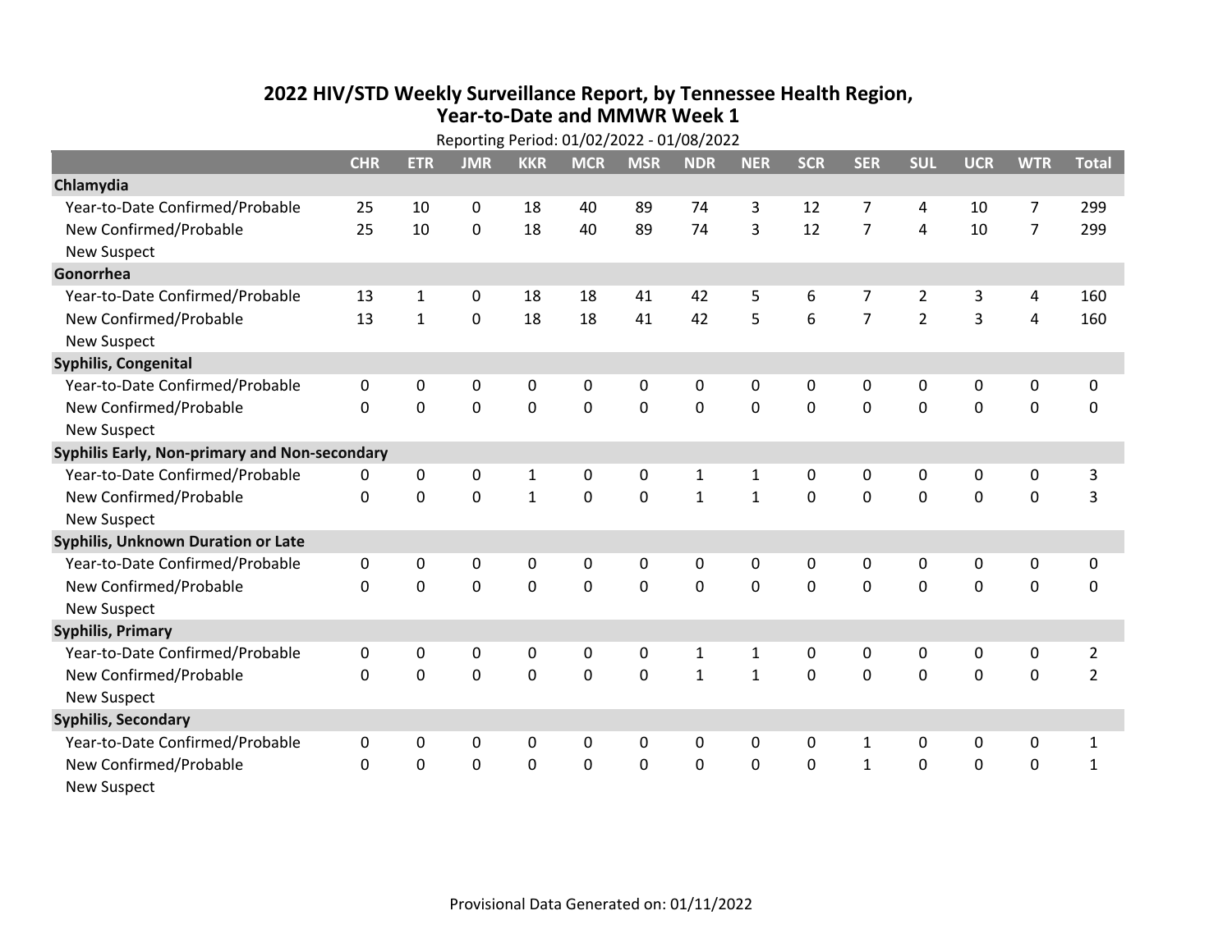## **2022 HIV /STD Weekly Surveillance Report, by Tennessee Health Region, Year‐to‐Date and MMWR Week 1** Reporting Period: 01/02/2022 ‐ 01/08/2022

| Reporting Period: 01/02/2022 - 01/08/2022     |              |              |             |                |             |             |              |              |              |                |                |             |                |                |
|-----------------------------------------------|--------------|--------------|-------------|----------------|-------------|-------------|--------------|--------------|--------------|----------------|----------------|-------------|----------------|----------------|
|                                               | <b>CHR</b>   | <b>ETR</b>   | <b>JMR</b>  | <b>KKR</b>     | <b>MCR</b>  | <b>MSR</b>  | <b>NDR</b>   | <b>NER</b>   | <b>SCR</b>   | <b>SER</b>     | <b>SUL</b>     | <b>UCR</b>  | <b>WTR</b>     | <b>Total</b>   |
| Chlamydia                                     |              |              |             |                |             |             |              |              |              |                |                |             |                |                |
| Year-to-Date Confirmed/Probable               | 25           | 10           | $\mathbf 0$ | 18             | 40          | 89          | 74           | 3            | 12           | $\overline{7}$ | 4              | 10          | $\overline{7}$ | 299            |
| New Confirmed/Probable                        | 25           | 10           | $\mathbf 0$ | 18             | 40          | 89          | 74           | 3            | 12           | $\overline{7}$ | 4              | 10          | $\overline{7}$ | 299            |
| <b>New Suspect</b>                            |              |              |             |                |             |             |              |              |              |                |                |             |                |                |
| Gonorrhea                                     |              |              |             |                |             |             |              |              |              |                |                |             |                |                |
| Year-to-Date Confirmed/Probable               | 13           | $\mathbf{1}$ | 0           | 18             | 18          | 41          | 42           | 5            | 6            | 7              | $\overline{2}$ | 3           | 4              | 160            |
| New Confirmed/Probable                        | 13           | $\mathbf{1}$ | 0           | 18             | 18          | 41          | 42           | 5            | 6            | $\overline{7}$ | $\overline{2}$ | 3           | $\overline{4}$ | 160            |
| <b>New Suspect</b>                            |              |              |             |                |             |             |              |              |              |                |                |             |                |                |
| <b>Syphilis, Congenital</b>                   |              |              |             |                |             |             |              |              |              |                |                |             |                |                |
| Year-to-Date Confirmed/Probable               | 0            | 0            | 0           | 0              | $\mathbf 0$ | 0           | 0            | 0            | 0            | 0              | 0              | 0           | 0              | 0              |
| New Confirmed/Probable                        | $\mathbf{0}$ | $\mathbf 0$  | 0           | 0              | $\mathbf 0$ | $\mathbf 0$ | 0            | $\mathbf 0$  | $\Omega$     | 0              | 0              | 0           | $\mathbf 0$    | 0              |
| <b>New Suspect</b>                            |              |              |             |                |             |             |              |              |              |                |                |             |                |                |
| Syphilis Early, Non-primary and Non-secondary |              |              |             |                |             |             |              |              |              |                |                |             |                |                |
| Year-to-Date Confirmed/Probable               | 0            | 0            | 0           | $\mathbf{1}$   | 0           | 0           | 1            | $\mathbf{1}$ | 0            | $\Omega$       | 0              | 0           | 0              | 3              |
| New Confirmed/Probable                        | 0            | $\mathbf 0$  | $\mathbf 0$ | $\mathbf{1}$   | $\mathbf 0$ | $\mathbf 0$ | $\mathbf{1}$ | $\mathbf{1}$ | $\Omega$     | $\Omega$       | $\mathbf 0$    | $\mathbf 0$ | $\mathbf 0$    | 3              |
| <b>New Suspect</b>                            |              |              |             |                |             |             |              |              |              |                |                |             |                |                |
| Syphilis, Unknown Duration or Late            |              |              |             |                |             |             |              |              |              |                |                |             |                |                |
| Year-to-Date Confirmed/Probable               | 0            | 0            | 0           | 0              | 0           | 0           | 0            | $\mathbf{0}$ | $\mathbf{0}$ | $\Omega$       | $\mathbf{0}$   | 0           | 0              | 0              |
| New Confirmed/Probable                        | 0            | $\mathbf 0$  | $\mathbf 0$ | $\overline{0}$ | $\mathbf 0$ | $\mathbf 0$ | $\Omega$     | $\Omega$     | $\Omega$     | $\Omega$       | $\Omega$       | $\mathbf 0$ | $\mathbf 0$    | $\mathbf 0$    |
| <b>New Suspect</b>                            |              |              |             |                |             |             |              |              |              |                |                |             |                |                |
| <b>Syphilis, Primary</b>                      |              |              |             |                |             |             |              |              |              |                |                |             |                |                |
| Year-to-Date Confirmed/Probable               | 0            | 0            | 0           | 0              | 0           | 0           | 1            | $\mathbf{1}$ | $\mathbf{0}$ | 0              | 0              | 0           | 0              | $\overline{2}$ |
| New Confirmed/Probable                        | 0            | $\mathbf 0$  | $\mathbf 0$ | $\overline{0}$ | $\mathbf 0$ | $\mathbf 0$ | $\mathbf{1}$ | $\mathbf{1}$ | $\Omega$     | $\Omega$       | $\Omega$       | $\Omega$    | $\mathbf 0$    | $\overline{2}$ |
| <b>New Suspect</b>                            |              |              |             |                |             |             |              |              |              |                |                |             |                |                |
| <b>Syphilis, Secondary</b>                    |              |              |             |                |             |             |              |              |              |                |                |             |                |                |
| Year-to-Date Confirmed/Probable               | 0            | 0            | $\mathbf 0$ | 0              | 0           | 0           | 0            | $\mathbf{0}$ | 0            | $\mathbf{1}$   | 0              | 0           | 0              | $\mathbf{1}$   |
| New Confirmed/Probable                        | 0            | 0            | $\mathbf 0$ | $\overline{0}$ | $\mathbf 0$ | $\mathbf 0$ | 0            | $\mathbf 0$  | $\mathbf 0$  | $\mathbf{1}$   | $\mathbf 0$    | $\mathbf 0$ | $\mathbf 0$    | $\mathbf{1}$   |
| <b>New Suspect</b>                            |              |              |             |                |             |             |              |              |              |                |                |             |                |                |